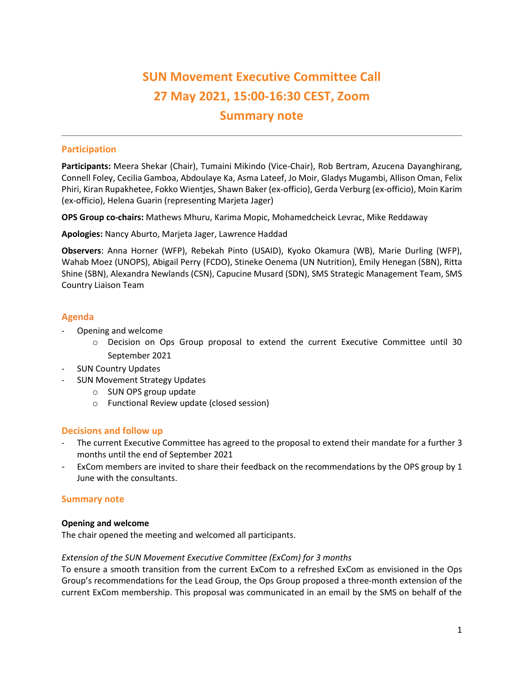# **SUN Movement Executive Committee Call 27 May 2021, 15:00-16:30 CEST, Zoom Summary note**

# **Participation**

**Participants:** Meera Shekar (Chair), Tumaini Mikindo (Vice-Chair), Rob Bertram, Azucena Dayanghirang, Connell Foley, Cecilia Gamboa, Abdoulaye Ka, Asma Lateef, Jo Moir, Gladys Mugambi, Allison Oman, Felix Phiri, Kiran Rupakhetee, Fokko Wientjes, Shawn Baker (ex-officio), Gerda Verburg (ex-officio), Moin Karim (ex-officio), Helena Guarin (representing Marjeta Jager)

**OPS Group co-chairs:** Mathews Mhuru, Karima Mopic, Mohamedcheick Levrac, Mike Reddaway

**Apologies:** Nancy Aburto, Marjeta Jager, Lawrence Haddad

**Observers**: Anna Horner (WFP), Rebekah Pinto (USAID), Kyoko Okamura (WB), Marie Durling (WFP), Wahab Moez (UNOPS), Abigail Perry (FCDO), Stineke Oenema (UN Nutrition), Emily Henegan (SBN), Ritta Shine (SBN), Alexandra Newlands (CSN), Capucine Musard (SDN), SMS Strategic Management Team, SMS Country Liaison Team

# **Agenda**

- Opening and welcome
	- o Decision on Ops Group proposal to extend the current Executive Committee until 30 September 2021
- SUN Country Updates
- SUN Movement Strategy Updates
	- o SUN OPS group update
	- o Functional Review update (closed session)

# **Decisions and follow up**

- The current Executive Committee has agreed to the proposal to extend their mandate for a further 3 months until the end of September 2021
- ExCom members are invited to share their feedback on the recommendations by the OPS group by 1 June with the consultants.

# **Summary note**

# **Opening and welcome**

The chair opened the meeting and welcomed all participants.

# *Extension of the SUN Movement Executive Committee (ExCom) for 3 months*

To ensure a smooth transition from the current ExCom to a refreshed ExCom as envisioned in the Ops Group's recommendations for the Lead Group, the Ops Group proposed a three-month extension of the current ExCom membership. This proposal was communicated in an email by the SMS on behalf of the